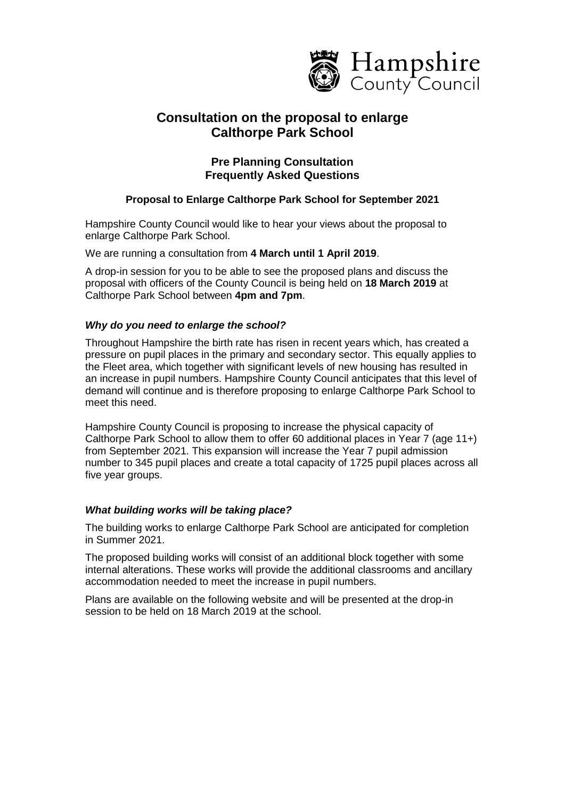

# **Consultation on the proposal to enlarge Calthorpe Park School**

# **Pre Planning Consultation Frequently Asked Questions**

# **Proposal to Enlarge Calthorpe Park School for September 2021**

Hampshire County Council would like to hear your views about the proposal to enlarge Calthorpe Park School.

We are running a consultation from **4 March until 1 April 2019**.

A drop-in session for you to be able to see the proposed plans and discuss the proposal with officers of the County Council is being held on **18 March 2019** at Calthorpe Park School between **4pm and 7pm**.

# *Why do you need to enlarge the school?*

Throughout Hampshire the birth rate has risen in recent years which, has created a pressure on pupil places in the primary and secondary sector. This equally applies to the Fleet area, which together with significant levels of new housing has resulted in an increase in pupil numbers. Hampshire County Council anticipates that this level of demand will continue and is therefore proposing to enlarge Calthorpe Park School to meet this need.

Hampshire County Council is proposing to increase the physical capacity of Calthorpe Park School to allow them to offer 60 additional places in Year 7 (age 11+) from September 2021. This expansion will increase the Year 7 pupil admission number to 345 pupil places and create a total capacity of 1725 pupil places across all five year groups.

# *What building works will be taking place?*

The building works to enlarge Calthorpe Park School are anticipated for completion in Summer 2021.

The proposed building works will consist of an additional block together with some internal alterations. These works will provide the additional classrooms and ancillary accommodation needed to meet the increase in pupil numbers.

Plans are available on the following website and will be presented at the drop-in session to be held on 18 March 2019 at the school.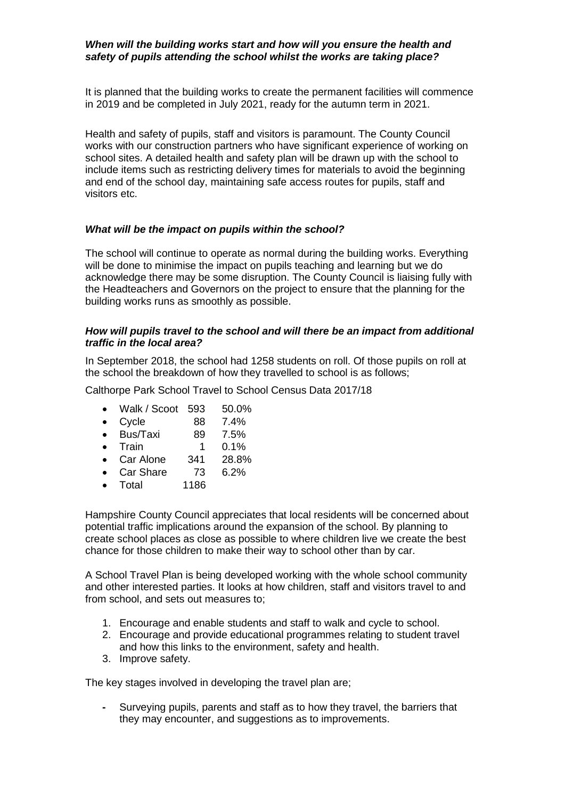# *When will the building works start and how will you ensure the health and safety of pupils attending the school whilst the works are taking place?*

It is planned that the building works to create the permanent facilities will commence in 2019 and be completed in July 2021, ready for the autumn term in 2021.

Health and safety of pupils, staff and visitors is paramount. The County Council works with our construction partners who have significant experience of working on school sites. A detailed health and safety plan will be drawn up with the school to include items such as restricting delivery times for materials to avoid the beginning and end of the school day, maintaining safe access routes for pupils, staff and visitors etc.

# *What will be the impact on pupils within the school?*

The school will continue to operate as normal during the building works. Everything will be done to minimise the impact on pupils teaching and learning but we do acknowledge there may be some disruption. The County Council is liaising fully with the Headteachers and Governors on the project to ensure that the planning for the building works runs as smoothly as possible.

#### *How will pupils travel to the school and will there be an impact from additional traffic in the local area?*

In September 2018, the school had 1258 students on roll. Of those pupils on roll at the school the breakdown of how they travelled to school is as follows;

Calthorpe Park School Travel to School Census Data 2017/18

- Walk / Scoot 593 50.0%
- Cycle 88 7.4%
- Bus/Taxi 89 7.5%
- Train 1 0.1%
- Car Alone 341 28.8%
- Car Share 73 6.2%
- Total 1186

Hampshire County Council appreciates that local residents will be concerned about potential traffic implications around the expansion of the school. By planning to create school places as close as possible to where children live we create the best chance for those children to make their way to school other than by car.

A School Travel Plan is being developed working with the whole school community and other interested parties. It looks at how children, staff and visitors travel to and from school, and sets out measures to;

- 1. Encourage and enable students and staff to walk and cycle to school.
- 2. Encourage and provide educational programmes relating to student travel and how this links to the environment, safety and health.
- 3. Improve safety.

The key stages involved in developing the travel plan are;

**-** Surveying pupils, parents and staff as to how they travel, the barriers that they may encounter, and suggestions as to improvements.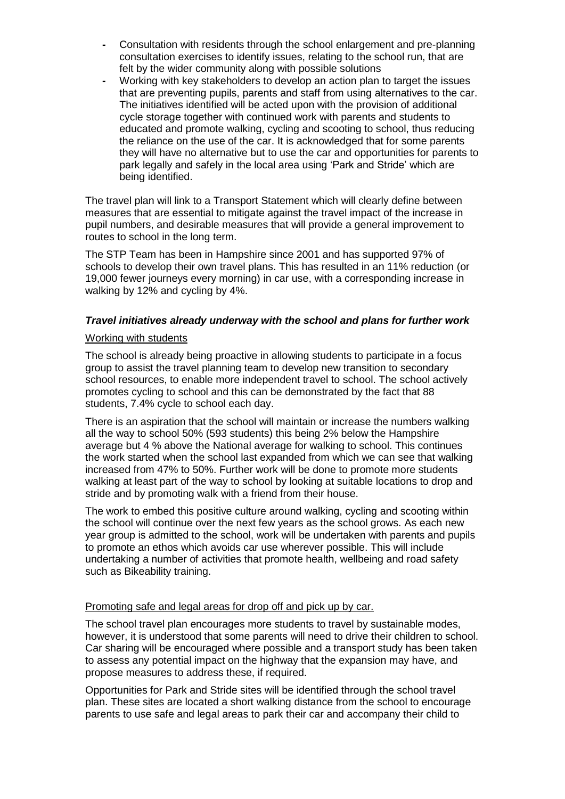- **-** Consultation with residents through the school enlargement and pre-planning consultation exercises to identify issues, relating to the school run, that are felt by the wider community along with possible solutions
- **-** Working with key stakeholders to develop an action plan to target the issues that are preventing pupils, parents and staff from using alternatives to the car. The initiatives identified will be acted upon with the provision of additional cycle storage together with continued work with parents and students to educated and promote walking, cycling and scooting to school, thus reducing the reliance on the use of the car. It is acknowledged that for some parents they will have no alternative but to use the car and opportunities for parents to park legally and safely in the local area using 'Park and Stride' which are being identified.

The travel plan will link to a Transport Statement which will clearly define between measures that are essential to mitigate against the travel impact of the increase in pupil numbers, and desirable measures that will provide a general improvement to routes to school in the long term.

The STP Team has been in Hampshire since 2001 and has supported 97% of schools to develop their own travel plans. This has resulted in an 11% reduction (or 19,000 fewer journeys every morning) in car use, with a corresponding increase in walking by 12% and cycling by 4%.

# *Travel initiatives already underway with the school and plans for further work*

#### Working with students

The school is already being proactive in allowing students to participate in a focus group to assist the travel planning team to develop new transition to secondary school resources, to enable more independent travel to school. The school actively promotes cycling to school and this can be demonstrated by the fact that 88 students, 7.4% cycle to school each day.

There is an aspiration that the school will maintain or increase the numbers walking all the way to school 50% (593 students) this being 2% below the Hampshire average but 4 % above the National average for walking to school. This continues the work started when the school last expanded from which we can see that walking increased from 47% to 50%. Further work will be done to promote more students walking at least part of the way to school by looking at suitable locations to drop and stride and by promoting walk with a friend from their house.

The work to embed this positive culture around walking, cycling and scooting within the school will continue over the next few years as the school grows. As each new year group is admitted to the school, work will be undertaken with parents and pupils to promote an ethos which avoids car use wherever possible. This will include undertaking a number of activities that promote health, wellbeing and road safety such as Bikeability training.

# Promoting safe and legal areas for drop off and pick up by car.

The school travel plan encourages more students to travel by sustainable modes, however, it is understood that some parents will need to drive their children to school. Car sharing will be encouraged where possible and a transport study has been taken to assess any potential impact on the highway that the expansion may have, and propose measures to address these, if required.

Opportunities for Park and Stride sites will be identified through the school travel plan. These sites are located a short walking distance from the school to encourage parents to use safe and legal areas to park their car and accompany their child to